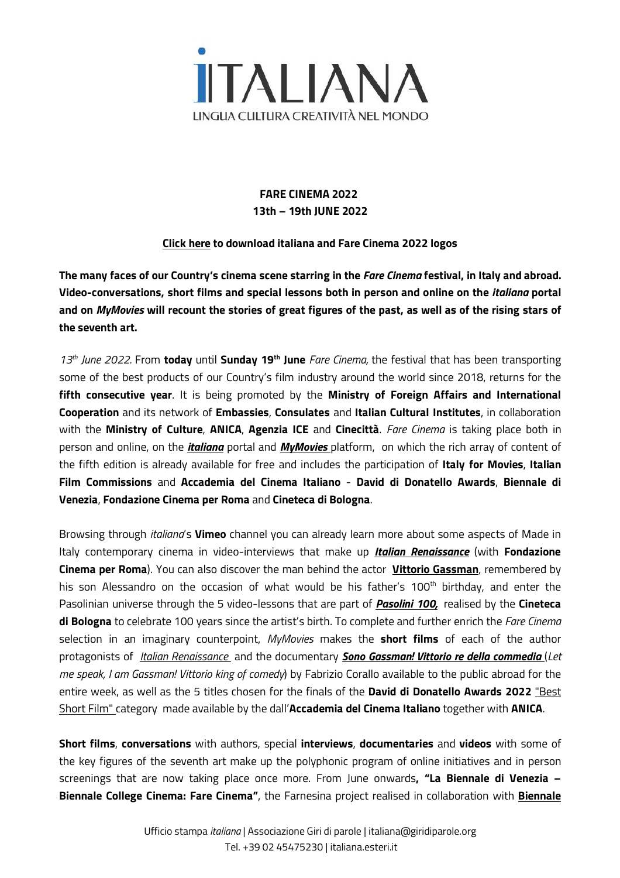

# **FARE CINEMA 2022 13th – 19th JUNE 2022**

### **[Click](https://www.dropbox.com/scl/fo/d24g2od5t9fptigl1mn5w/h?dl=0&rlkey=dyaecbv4kkrtcht0cka6ss03p) here to download italiana and Fare Cinema 2022 logos**

The many faces of our Country's cinema scene starring in the Fare Cinema festival, in Italy and abroad. **Video-conversations, short films and special lessons both in person and online on the** *italiana* **portal** and on *MyMovies* will recount the stories of great figures of the past, as well as of the rising stars of **the seventh art.**

*13th June 2022.* From **today** until **Sunday 19th June** *Fare Cinema,* the festival that has been transporting some of the best products of our Country's film industry around the world since 2018, returns for the **fifth consecutive year**. It is being promoted by the **Ministry of Foreign Affairs and International Cooperation** and its network of **Embassies**, **Consulates** and **Italian Cultural Institutes**, in collaboration with the **Ministry of Culture**, **ANICA**, **Agenzia ICE** and **Cinecittà**. *Fare Cinema* is taking place both in person and online, on the *[italiana](https://italiana.esteri.it/italiana/en/progetti/fare-cinema-2022/)* portal and *[MyMovies](https://www.mymovies.it/ondemand/iic/)* platform, on which the rich array of content of the fifth edition is already available for free and includes the participation of **Italy for Movies**, **Italian Film Commissions** and **Accademia del Cinema Italiano** - **David di Donatello Awards**, **Biennale di Venezia**, **Fondazione Cinema per Roma** and **Cineteca di Bologna**.

Browsing through *italiana*'s **Vimeo** channel you can already learn more about some aspects of Made in Italy contemporary cinema in video-interviews that make up *Italian [Renaissance](https://vimeo.com/showcase/9599105)* (with **Fondazione Cinema per Roma**). You can also discover the man behind the actor **Vittorio [Gassman](https://vimeo.com/719117666)**, remembered by his son Alessandro on the occasion of what would be his father's 100<sup>th</sup> birthday, and enter the Pasolinian universe through the 5 video-lessons that are part of *[Pasolini](https://vimeo.com/showcase/9594748) 100,* realised by the **Cineteca di Bologna** to celebrate 100 years since the artist's birth. To complete and further enrich the *Fare Cinema* selection in an imaginary counterpoint, *MyMovies* makes the **short films** of each of the author protagonists of *Italian [Renaissance](https://italiana.esteri.it/italiana/eventi/italian-renaissance)* and the documentary *Sono Gassman! Vittorio re della [commedia](https://italiana.esteri.it/italiana/eventi/fare-cinema-2022-omaggio-a-vittorio-gassman)* (*Let me speak, I am Gassman! Vittorio king of comedy*) by Fabrizio Corallo available to the public abroad for the entire week, as well as the 5 titles chosen for the finals of the **David di Donatello Awards 2022** ["Best](https://italiana.esteri.it/italiana/eventi/italian-screens/) [Short](https://italiana.esteri.it/italiana/eventi/italian-screens/) Film" category made available by the dall'**Accademia del Cinema Italiano** together with **ANICA**.

**Short films**, **conversations** with authors, special **interviews**, **documentaries** and **videos** with some of the key figures of the seventh art make up the polyphonic program of online initiatives and in person screenings that are now taking place once more. From June onwards**, "La Biennale di Venezia – Biennale College Cinema: Fare Cinema"**, the Farnesina project realised in collaboration with **[Biennale](https://italiana.esteri.it/italiana/en/eventi/biennale-college-cinema-and-the-italian-ministry-of-foreign-affairs-for-young-cinema/)**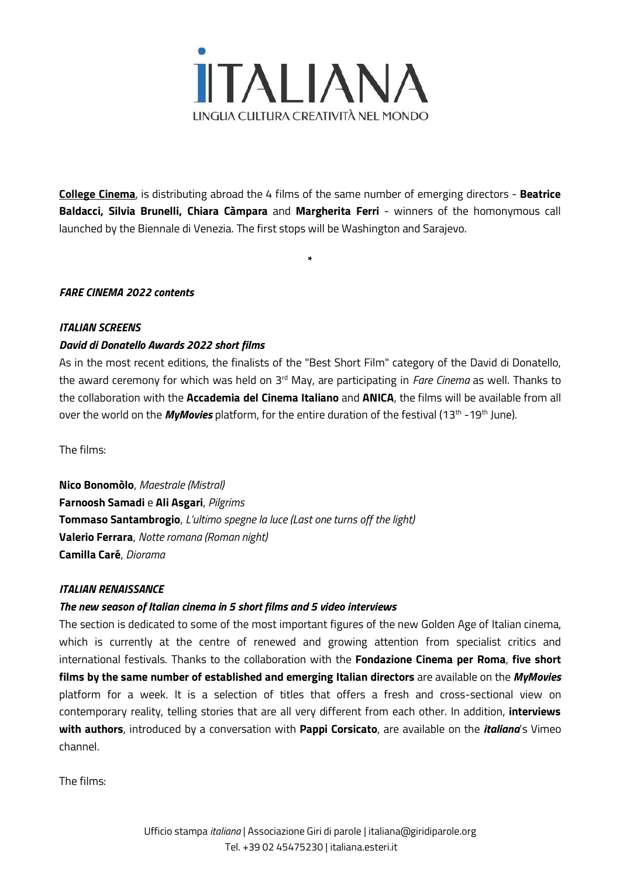

**College [Cinema](https://italiana.esteri.it/italiana/en/eventi/biennale-college-cinema-and-the-italian-ministry-of-foreign-affairs-for-young-cinema/)**, is distributing abroad the 4 films of the same number of emerging directors - **Beatrice Baldacci, Silvia Brunelli, Chiara Càmpara** and **Margherita Ferri** - winners of the homonymous call launched by the Biennale di Venezia. The first stops will be Washington and Sarajevo.

**\***

#### *FARE CINEMA 2022 contents*

#### *ITALIAN SCREENS*

#### *David di Donatello Awards 2022 short films*

As in the most recent editions, the finalists of the "Best Short Film" category of the David di Donatello, the award ceremony for which was held on 3<sup>rd</sup> May, are participating in *Fare Cinema* as well. Thanks to the collaboration with the **Accademia del Cinema Italiano** and **ANICA**, the films will be available from all over the world on the *MyMovies platform, for the entire duration of the festival (13<sup>th</sup> -19<sup>th</sup> June).* 

The films:

**Nico Bonomòlo**, *Maestrale (Mistral)* **Farnoosh Samadi** e **Ali Asgari**, *Pilgrims* **Tommaso Santambrogio**, *L'ultimo spegne la luce (Last one turns off the light)* **Valerio Ferrara**, *Notte romana (Roman night)* **Camilla Caré**, *Diorama*

#### *ITALIAN RENAISSANCE*

#### *The new season of Italian cinema in 5 short films and 5 video interviews*

The section is dedicated to some of the most important figures of the new Golden Age of Italian cinema, which is currently at the centre of renewed and growing attention from specialist critics and international festivals. Thanks to the collaboration with the **Fondazione Cinema per Roma**, **five short films by the same number of established and emerging Italian directors** are available on the *MyMovies* platform for a week. It is a selection of titles that offers a fresh and cross-sectional view on contemporary reality, telling stories that are all very different from each other. In addition, **interviews with authors**, introduced by a conversation with **Pappi Corsicato**, are available on the *italiana*'s Vimeo channel.

The films: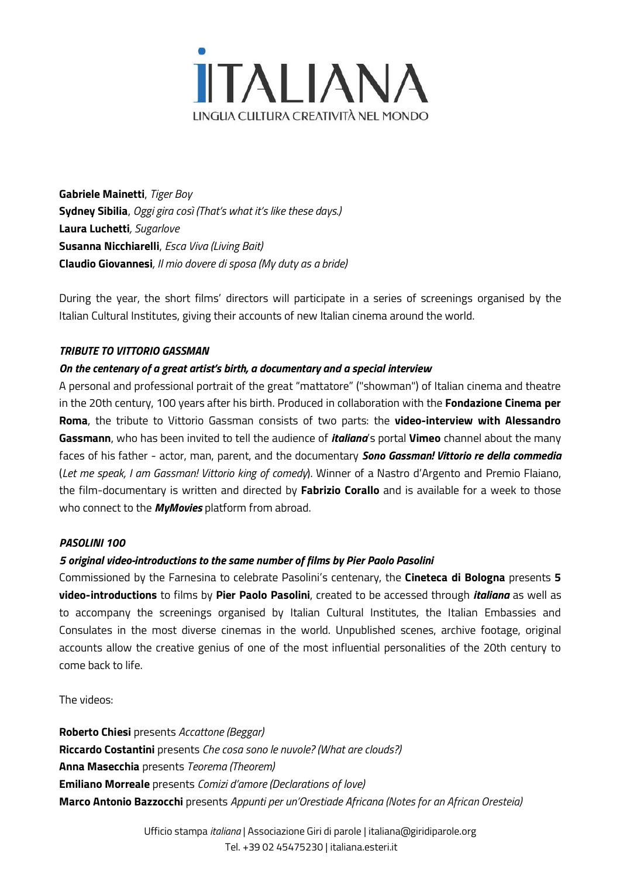

**Gabriele Mainetti**, *Tiger Boy* **Sydney Sibilia**, *Oggi gira così (That's what it's like these days.)* **Laura Luchetti***, Sugarlove* **Susanna Nicchiarelli**, *Esca Viva (Living Bait)* **Claudio Giovannesi***, Il mio dovere di sposa (My duty as a bride)*

During the year, the short films' directors will participate in a series of screenings organised by the Italian Cultural Institutes, giving their accounts of new Italian cinema around the world.

#### *TRIBUTE TO VITTORIO GASSMAN*

## *On the centenary of a great artist's birth, a documentary and a special interview*

A personal and professional portrait of the great "mattatore" ("showman") of Italian cinema and theatre in the 20th century, 100 years after his birth. Produced in collaboration with the **Fondazione Cinema per Roma**, the tribute to Vittorio Gassman consists of two parts: the **video-interview with Alessandro Gassmann**, who has been invited to tell the audience of *italiana*'s portal **Vimeo** channel about the many faces of his father - actor, man, parent, and the documentary *Sono Gassman! Vittorio re della commedia* (*Let me speak, I am Gassman! Vittorio king of comedy*). Winner of a Nastro d'Argento and Premio Flaiano, the film-documentary is written and directed by **Fabrizio Corallo** and is available for a week to those who connect to the *MyMovies* platform from abroad.

#### *PASOLINI 100*

#### *5 original video-introductions to the same number of films by Pier Paolo Pasolini*

Commissioned by the Farnesina to celebrate Pasolini's centenary, the **Cineteca di Bologna** presents **5 video-introductions** to films by **Pier Paolo Pasolini**, created to be accessed through *italiana* as well as to accompany the screenings organised by Italian Cultural Institutes, the Italian Embassies and Consulates in the most diverse cinemas in the world. Unpublished scenes, archive footage, original accounts allow the creative genius of one of the most influential personalities of the 20th century to come back to life.

The videos:

**Roberto Chiesi** presents *Accattone (Beggar)* **Riccardo Costantini** presents *Che cosa sono le nuvole? (What are clouds?)* **Anna Masecchia** presents *Teorema (Theorem)* **Emiliano Morreale** presents *Comizi d'amore (Declarations of love)* **Marco Antonio Bazzocchi** presents *Appunti per un'Orestiade Africana (Notes for an African Oresteia)*

> Ufficio stampa *italiana* | Associazione Giri di parole [| italiana@giridiparole.org](mailto:italiana@exlibris.it) Tel. +39 02 45475230 | [italiana.esteri.it](http://italiana.esteri.it/)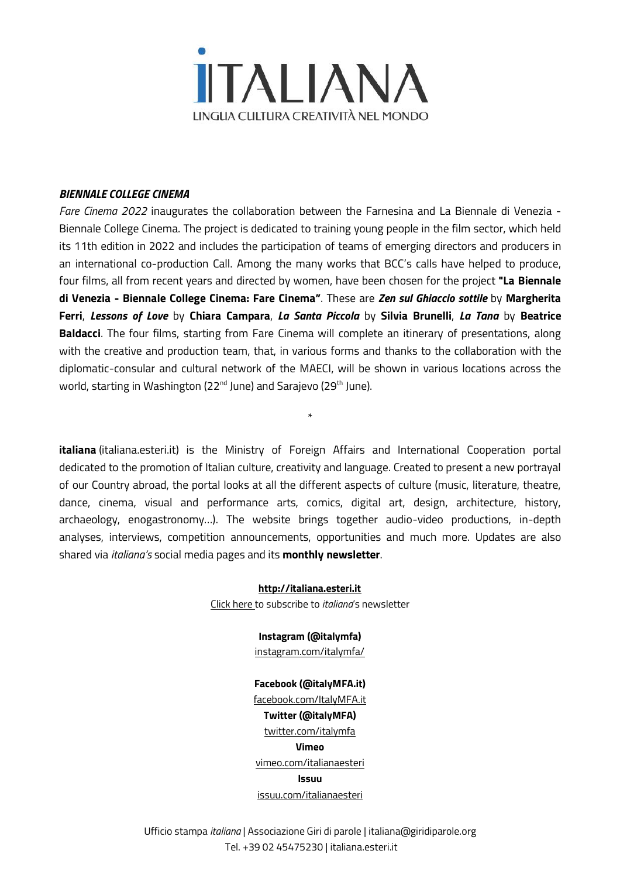

#### *BIENNALE COLLEGE CINEMA*

*Fare Cinema 2022* inaugurates the collaboration between the Farnesina and La Biennale di Venezia - Biennale College Cinema. The project is dedicated to training young people in the film sector, which held its 11th edition in 2022 and includes the participation of teams of emerging directors and producers in an international co-production Call. Among the many works that BCC's calls have helped to produce, four films, all from recent years and directed by women, have been chosen for the project **"La Biennale di Venezia - Biennale College Cinema: Fare Cinema"**. These are *Zen sul Ghiaccio sottile* by **Margherita Ferri**, *Lessons of Love* by **Chiara Campara**, *La Santa Piccola* by **Silvia Brunelli**, *La Tana* by **Beatrice Baldacci**. The four films, starting from Fare Cinema will complete an itinerary of presentations, along with the creative and production team, that, in various forms and thanks to the collaboration with the diplomatic-consular and cultural network of the MAECI, will be shown in various locations across the world, starting in Washington (22<sup>nd</sup> June) and Sarajevo (29<sup>th</sup> June).

**italiana** [\(italiana.esteri.it\)](http://italiana.esteri.it/) is the Ministry of Foreign Affairs and International Cooperation portal dedicated to the promotion of Italian culture, creativity and language. Created to present a new portrayal of our Country abroad, the portal looks at all the different aspects of culture (music, literature, theatre, dance, cinema, visual and performance arts, comics, digital art, design, architecture, history, archaeology, enogastronomy…). The website brings together audio-video productions, in-depth analyses, interviews, competition announcements, opportunities and much more. Updates are also shared via *italiana's* social media pages and its **monthly newsletter**.

\*

**[http://italiana.esteri.it](http://italiana.esteri.it/)** Click [here](http://a5a5e5.mailupclient.com/frontend/forms/Subscription.aspx?idList=1&idForm=1&guid=aafa5375-bcf1-4e06-965a-e3a98b626156) to subscribe to *italiana*'s newsletter

> **Instagram (@italymfa)** [instagram.com/italymfa/](https://www.instagram.com/italymfa/)

#### **Facebook (@italyMFA.it)**

[facebook.com/ItalyMFA.it](https://www.facebook.com/ItalyMFA.it) **Twitter (@italyMFA)** [twitter.com/italymfa](https://twitter.com/italymfa) **Vimeo** [vimeo.com/italianaesteri](https://vimeo.com/italianaesteri) **Issuu** [issuu.com/italianaesteri](https://issuu.com/italianaesteri)

Ufficio stampa *italiana* | Associazione Giri di parole [| italiana@giridiparole.org](mailto:italiana@exlibris.it) Tel. +39 02 45475230 | [italiana.esteri.it](http://italiana.esteri.it/)